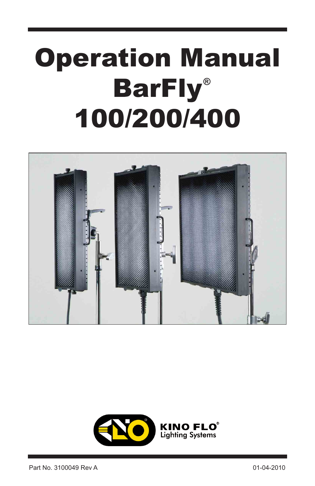# Operation Manual BarFly **®**100/200/400



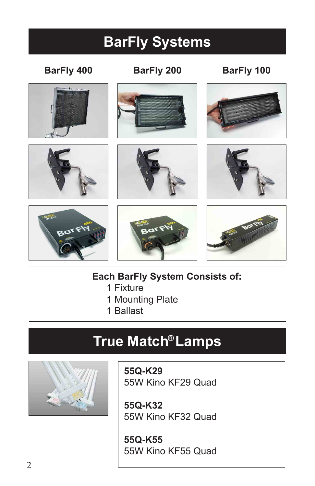## **BarFly Systems**

#### **BarFly 400 BarFly 200 BarFly 100**



















**Each BarFly System Consists of:**

- 1 Fixture
- 1 Mounting Plate
- 1 Ballast

### **True Match Lamps ®**



**55Q-K29** 55W Kino KF29 Quad

**55Q-K32** 55W Kino KF32 Quad

**55Q-K55** 55W Kino KF55 Quad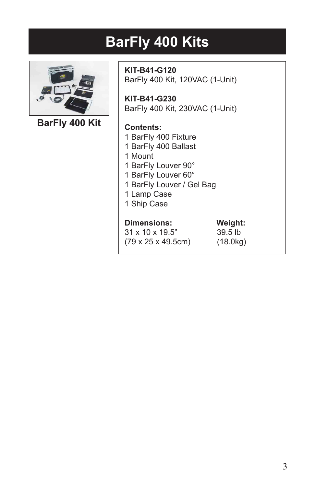### **BarFly 400 Kits**



**BarFly 400 Kit**

**KIT-B41-G120** BarFly 400 Kit, 120VAC (1-Unit)

**KIT-B41-G230** BarFly 400 Kit, 230VAC (1-Unit)

#### **Contents:**

- 1 BarFly 400 Fixture
- 1 BarFly 400 Ballast
- 1 Mount
- 1 BarFly Louver 90°
- 1 BarFly Louver 60°
- 1 BarFly Louver / Gel Bag
- 1 Lamp Case
- 1 Ship Case

#### **Dimensions: Weight:**

31 x 10 x 19.5" 39.5 lb (79 x 25 x 49.5cm) (18.0kg)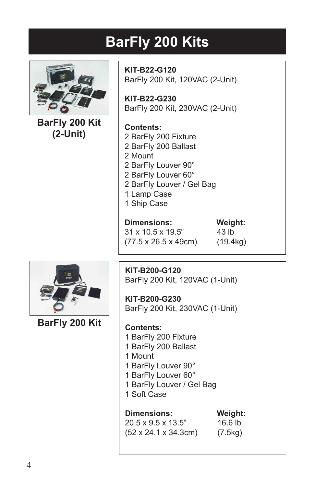# **BarFly 200 Kits**



**BarFly 200 Kit (2-Unit)**

**KIT-B22-G120** BarFly 200 Kit, 120VAC (2-Unit)

**KIT-B22-G230** BarFly 200 Kit, 230VAC (2-Unit)

#### **Contents:**

- 2 BarFly 200 Fixture
- 2 BarFly 200 Ballast
- 2 Mount
- 2 BarFly Louver 90°
- 2 BarFly Louver 60°
- 2 BarFly Louver / Gel Bag
- 1 Lamp Case
- 1 Ship Case

#### **Dimensions: Weight:**

31 x 10.5 x 19.5" 43 lb (77.5 x 26.5 x 49cm) (19.4kg)



**BarFly 200 Kit**

**KIT-B200-G120** BarFly 200 Kit, 120VAC (1-Unit)

**KIT-B200-G230** BarFly 200 Kit, 230VAC (1-Unit)

#### **Contents:**

- 1 BarFly 200 Fixture
- 1 BarFly 200 Ballast
- 1 Mount
- 1 BarFly Louver 90°
- 1 BarFly Louver 60°
- 1 BarFly Louver / Gel Bag
- 1 Soft Case

#### **Dimensions: Weight:**

20.5 x 9.5 x 13.5" 16.6 lb (52 x 24.1 x 34.3cm) (7.5kg)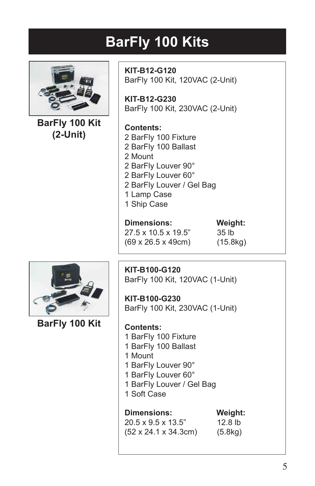### **BarFly 100 Kits**



**BarFly 100 Kit (2-Unit)**

**KIT-B12-G120** BarFly 100 Kit, 120VAC (2-Unit)

**KIT-B12-G230** BarFly 100 Kit, 230VAC (2-Unit)

#### **Contents:**

- 2 BarFly 100 Fixture
- 2 BarFly 100 Ballast
	- 2 Mount
	- 2 BarFly Louver 90°
	- 2 BarFly Louver 60°
	- 2 BarFly Louver / Gel Bag
	- 1 Lamp Case
- 1 Ship Case

#### **Dimensions: Weight:**

27.5 x 10.5 x 19.5" 35 lb (69 x 26.5 x 49cm) (15.8kg)



**BarFly 100 Kit**

**KIT-B100-G120** BarFly 100 Kit, 120VAC (1-Unit)

**KIT-B100-G230** BarFly 100 Kit, 230VAC (1-Unit)

#### **Contents:**

- 1 BarFly 100 Fixture
- 1 BarFly 100 Ballast
- 1 Mount
- 1 BarFly Louver 90°
- 1 BarFly Louver 60°
- 1 BarFly Louver / Gel Bag
- 1 Soft Case

#### **Dimensions: Weight:**

20.5 x 9.5 x 13.5" 12.8 lb (52 x 24.1 x 34.3cm) (5.8kg)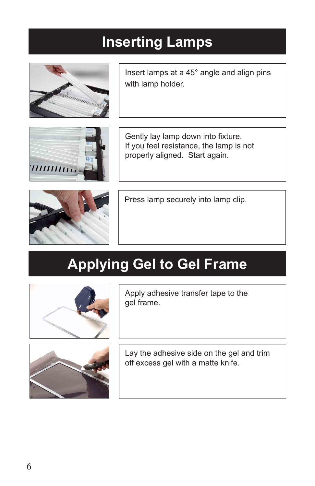### **Inserting Lamps**



Insert lamps at a 45° angle and align pins with lamp holder.



Gently lay lamp down into fixture. If you feel resistance, the lamp is not properly aligned. Start again.



Press lamp securely into lamp clip.

## **Applying Gel to Gel Frame**



Apply adhesive transfer tape to the gel frame.



Lay the adhesive side on the gel and trim off excess gel with a matte knife.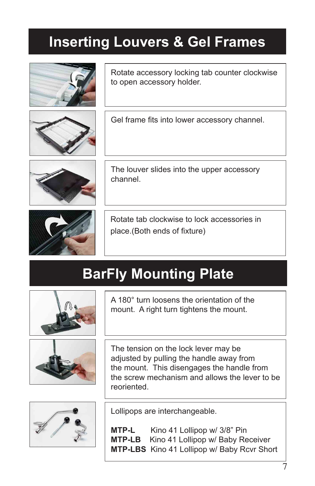### **Inserting Louvers & Gel Frames**



Gel frame fits into lower accessory channel.

Rotate accessory locking tab counter clockwise

The louver slides into the upper accessory channel.



Rotate tab clockwise to lock accessories in place.(Both ends of fixture)

## **BarFly Mounting Plate**



A 180° turn loosens the orientation of the mount. A right turn tightens the mount.



The tension on the lock lever may be adjusted by pulling the handle away from the mount. This disengages the handle from the screw mechanism and allows the lever to be reoriented.



Lollipops are interchangeable.

**MTP-L** Kino 41 Lollipop w/ 3/8" Pin<br>**MTP-LB** Kino 41 Lollipop w/ Baby Re Kino 41 Lollipop w/ Baby Receiver **MTP-LBS** Kino 41 Lollipop w/ Baby Rcvr Short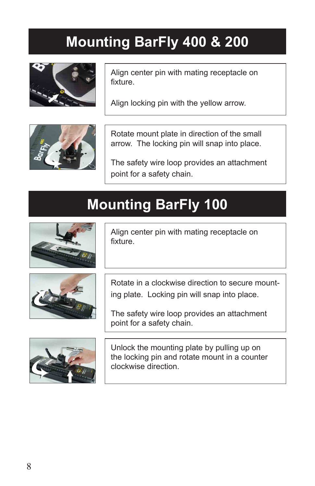### **Mounting BarFly 400 & 200**



Align center pin with mating receptacle on fixture.

Align locking pin with the yellow arrow.



Rotate mount plate in direction of the small arrow. The locking pin will snap into place.

The safety wire loop provides an attachment point for a safety chain.

## **Mounting BarFly 100**



Align center pin with mating receptacle on fixture.



Rotate in a clockwise direction to secure mounting plate. Locking pin will snap into place.

The safety wire loop provides an attachment point for a safety chain.



Unlock the mounting plate by pulling up on the locking pin and rotate mount in a counter clockwise direction.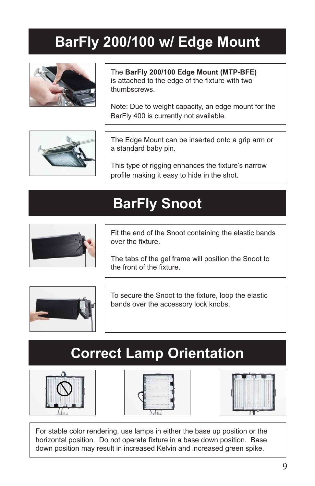### **BarFly 200/100 w/ Edge Mount**



The **BarFly 200/100 Edge Mount (MTP-BFE)**  is attached to the edge of the fixture with two thumbscrews.

Note: Due to weight capacity, an edge mount for the BarFly 400 is currently not available.



The Edge Mount can be inserted onto a grip arm or a standard baby pin.

This type of rigging enhances the fixture's narrow profile making it easy to hide in the shot.

### **BarFly Snoot**



Fit the end of the Snoot containing the elastic bands over the fixture.

The tabs of the gel frame will position the Snoot to the front of the fixture.



To secure the Snoot to the fixture, loop the elastic bands over the accessory lock knobs.

### **Correct Lamp Orientation**







For stable color rendering, use lamps in either the base up position or the horizontal position. Do not operate fixture in a base down position. Base down position may result in increased Kelvin and increased green spike.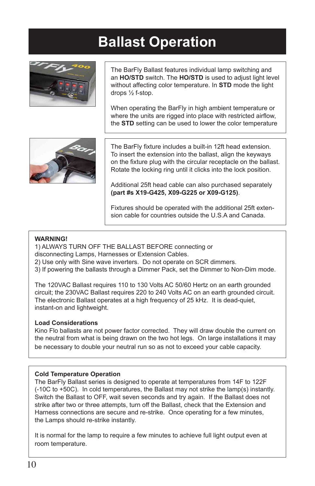### **Ballast Operation**



The BarFly Ballast features individual lamp switching and an **HO/STD** switch. The **HO/STD** is used to adjust light level without affecting color temperature. In **STD** mode the light drops ½ f-stop.

When operating the BarFly in high ambient temperature or where the units are rigged into place with restricted airflow, the **STD** setting can be used to lower the color temperature



The BarFly fixture includes a built-in 12ft head extension. To insert the extension into the ballast, align the keyways on the fixture plug with the circular receptacle on the ballast. Rotate the locking ring until it clicks into the lock position.

Additional 25ft head cable can also purchased separately **(part #s X19-G425, X09-G225 or X09-G125)**.

Fixtures should be operated with the additional 25ft extension cable for countries outside the U.S.A and Canada.

#### **WARNING!**

1) ALWAYS TURN OFF THE BALLAST BEFORE connecting or disconnecting Lamps, Harnesses or Extension Cables.

2) Use only with Sine wave inverters. Do not operate on SCR dimmers.

3) If powering the ballasts through a Dimmer Pack, set the Dimmer to Non-Dim mode.

The 120VAC Ballast requires 110 to 130 Volts AC 50/60 Hertz on an earth grounded circuit; the 230VAC Ballast requires 220 to 240 Volts AC on an earth grounded circuit. The electronic Ballast operates at a high frequency of 25 kHz. It is dead-quiet, instant-on and lightweight.

#### **Load Considerations**

Kino Flo ballasts are not power factor corrected. They will draw double the current on the neutral from what is being drawn on the two hot legs. On large installations it may be necessary to double your neutral run so as not to exceed your cable capacity.

#### **Cold Temperature Operation**

The BarFly Ballast series is designed to operate at temperatures from 14F to 122F (-10C to +50C). In cold temperatures, the Ballast may not strike the lamp(s) instantly. Switch the Ballast to OFF, wait seven seconds and try again. If the Ballast does not strike after two or three attempts, turn off the Ballast, check that the Extension and Harness connections are secure and re-strike. Once operating for a few minutes, the Lamps should re-strike instantly.

It is normal for the lamp to require a few minutes to achieve full light output even at room temperature.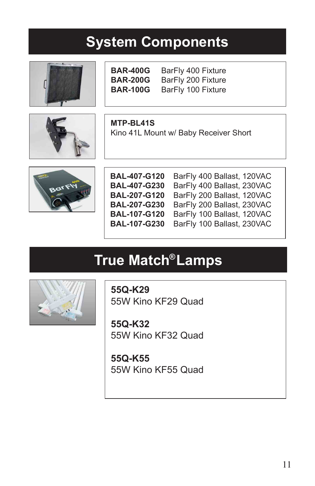#### **System Components**





**BAR-400G** BarFly 400 Fixture **BAR-200G** BarFly 200 Fixture **BAR-100G** BarFly 100 Fixture

**MTP-BL41S** Kino 41L Mount w/ Baby Receiver Short



| <b>BAL-407-G120</b> |  |
|---------------------|--|
| <b>BAL-407-G230</b> |  |
| <b>BAL-207-G120</b> |  |
| <b>BAL-207-G230</b> |  |
| <b>BAL-107-G120</b> |  |
| <b>BAL-107-G230</b> |  |

BarFly 400 Ballast, 120VAC BarFly 400 Ballast, 230VAC BarFly 200 Ballast, 120VAC BarFly 200 Ballast, 230VAC BarFly 100 Ballast, 120VAC BarFly 100 Ballast, 230VAC

## **True Match Lamps ®**



**55Q-K29** 55W Kino KF29 Quad

**55Q-K32** 55W Kino KF32 Quad

**55Q-K55** 55W Kino KF55 Quad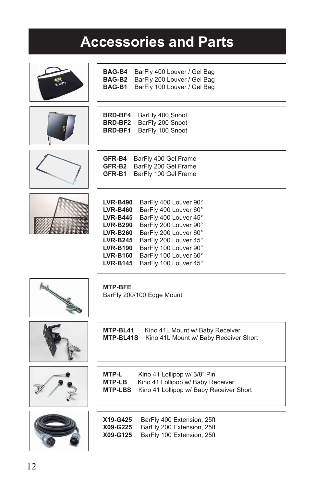### **Accessories and Parts**

| BAG-B4<br>BarFly 400 Louver / Gel Bag<br>BAG-B <sub>2</sub><br>BarFly 200 Louver / Gel Bag<br>BAG-B1<br>BarFly 100 Louver / Gel Bag                                                                                                                                                                                                                                                                      |
|----------------------------------------------------------------------------------------------------------------------------------------------------------------------------------------------------------------------------------------------------------------------------------------------------------------------------------------------------------------------------------------------------------|
| <b>BRD-BF4</b><br>BarFly 400 Snoot<br>BarFly 200 Snoot<br>BRD-BF2<br>BarFly 100 Snoot<br>BRD-BF1                                                                                                                                                                                                                                                                                                         |
| <b>GFR-B4</b><br>BarFly 400 Gel Frame<br>GFR-B2<br>BarFly 200 Gel Frame<br>GFR-B1<br>BarFly 100 Gel Frame                                                                                                                                                                                                                                                                                                |
| <b>LVR-B490</b><br>BarFly 400 Louver 90°<br>BarFly 400 Louver 60°<br><b>LVR-B460</b><br>BarFly 400 Louver 45°<br><b>LVR-B445</b><br>BarFly 200 Louver 90°<br><b>LVR-B290</b><br>BarFly 200 Louver 60°<br><b>LVR-B260</b><br>BarFly 200 Louver 45°<br><b>LVR-B245</b><br>BarFly 100 Louver 90°<br><b>LVR-B190</b><br>BarFly 100 Louver 60°<br><b>LVR-B160</b><br><b>LVR-B145</b><br>BarFly 100 Louver 45° |
| <b>MTP-BFE</b><br>BarFly 200/100 Edge Mount                                                                                                                                                                                                                                                                                                                                                              |
| MTP-BL41<br>Kino 41L Mount w/ Baby Receiver<br>MTP-BL41S<br>Kino 41L Mount w/ Baby Receiver Short                                                                                                                                                                                                                                                                                                        |
| <b>MTP-L</b><br>Kino 41 Lollipop w/ 3/8" Pin<br><b>MTP-LB</b><br>Kino 41 Lollipop w/ Baby Receiver<br><b>MTP-LBS</b><br>Kino 41 Lollipop w/ Baby Receiver Short                                                                                                                                                                                                                                          |
| X19-G425<br>BarFly 400 Extension, 25ft<br>X09-G225<br>BarFly 200 Extension, 25ft<br>X09-G125<br>BarFly 100 Extension, 25ft                                                                                                                                                                                                                                                                               |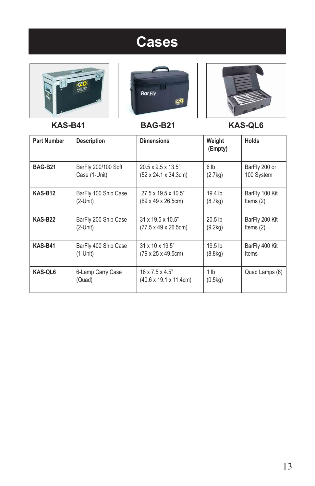### **Cases**







**KAS-B41 BAG-B21 KAS-QL6**

| <b>Part Number</b> | <b>Description</b>          | <b>Dimensions</b>                                                          | Weight<br>(Empty)          | <b>Holds</b>   |
|--------------------|-----------------------------|----------------------------------------------------------------------------|----------------------------|----------------|
| <b>BAG-B21</b>     | BarFly 200/100 Soft         | $20.5 \times 9.5 \times 13.5$ "                                            | 6 <sub>lb</sub>            | BarFly 200 or  |
|                    | Case (1-Unit)               | $(52 \times 24.1 \times 34.3 \text{cm})$                                   | (2.7kg)                    | 100 System     |
| <b>KAS-B12</b>     | BarFly 100 Ship Case        | $27.5 \times 19.5 \times 10.5$ "                                           | 19.4 lb                    | BarFly 100 Kit |
|                    | $(2$ -Unit $)$              | $(69 \times 49 \times 26.5 \text{cm})$                                     | (8.7kg)                    | Items $(2)$    |
| <b>KAS-B22</b>     | BarFly 200 Ship Case        | $31 \times 19.5 \times 10.5$ "                                             | $20.5$ lb                  | BarFly 200 Kit |
|                    | $(2$ -Unit)                 | $(77.5 \times 49 \times 26.5$ cm)                                          | (9.2kg)                    | Items $(2)$    |
| KAS-B41            | BarFly 400 Ship Case        | $31 \times 10 \times 19.5$ "                                               | 19.5 <sub>lb</sub>         | BarFly 400 Kit |
|                    | $(1-U$ nit)                 | $(79 \times 25 \times 49.5)$ cm)                                           | (8.8kg)                    | Items          |
| KAS-QL6            | 6-Lamp Carry Case<br>(Quad) | $16 \times 7.5 \times 4.5$ "<br>$(40.6 \times 19.1 \times 11.4 \text{cm})$ | 1 <sub>lb</sub><br>(0.5kg) | Quad Lamps (6) |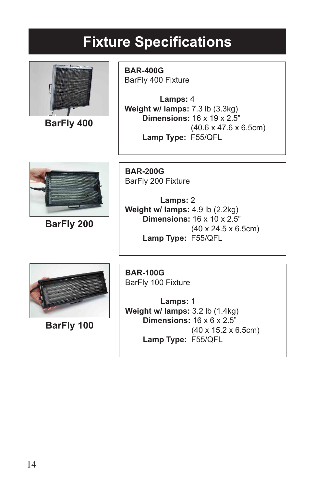### **Fixture Specifications**



**BarFly 400**

**BAR-400G** BarFly 400 Fixture

 **Lamps:** 4 **Weight w/ lamps:** 7.3 lb (3.3kg)  **Dimensions:** 16 x 19 x 2.5" (40.6 x 47.6 x 6.5cm)  **Lamp Type:** F55/QFL



**BarFly 200**

**BAR-200G** BarFly 200 Fixture

 **Lamps:** 2 **Weight w/ lamps:** 4.9 lb (2.2kg)  **Dimensions:** 16 x 10 x 2.5" (40 x 24.5 x 6.5cm)  **Lamp Type:** F55/QFL



**BarFly 100**

**BAR-100G** BarFly 100 Fixture

 **Lamps:** 1 **Weight w/ lamps:** 3.2 lb (1.4kg)  **Dimensions:** 16 x 6 x 2.5" (40 x 15.2 x 6.5cm)  **Lamp Type:** F55/QFL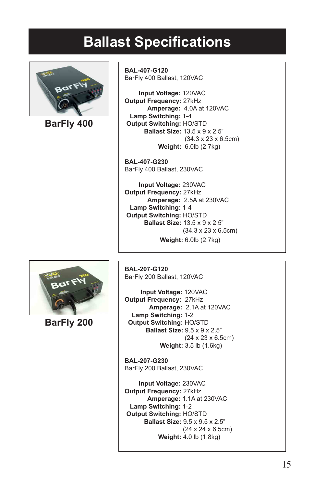#### **Ballast Specifications**



**BarFly 400**

**BAL-407-G120** BarFly 400 Ballast, 120VAC

 **Input Voltage:** 120VAC **Output Frequency:** 27kHz  **Amperage:** 4.0A at 120VAC  **Lamp Switching:** 1-4  **Output Switching:** HO/STD  **Ballast Size:** 13.5 x 9 x 2.5" (34.3 x 23 x 6.5cm)  **Weight:** 6.0lb (2.7kg)

**BAL-407-G230** BarFly 400 Ballast, 230VAC

 **Input Voltage:** 230VAC **Output Frequency:** 27kHz  **Amperage:** 2.5A at 230VAC  **Lamp Switching:** 1-4  **Output Switching:** HO/STD  **Ballast Size:** 13.5 x 9 x 2.5" (34.3 x 23 x 6.5cm)  **Weight:** 6.0lb (2.7kg)



**BarFly 200**

**BAL-207-G120** BarFly 200 Ballast, 120VAC

 **Input Voltage:** 120VAC **Output Frequency:** 27kHz  **Amperage:** 2.1A at 120VAC  **Lamp Switching:** 1-2  **Output Switching:** HO/STD  **Ballast Size:** 9.5 x 9 x 2.5" (24 x 23 x 6.5cm)  **Weight:** 3.5 lb (1.6kg)

**BAL-207-G230** BarFly 200 Ballast, 230VAC

 **Input Voltage:** 230VAC **Output Frequency:** 27kHz  **Amperage:** 1.1A at 230VAC  **Lamp Switching:** 1-2  **Output Switching:** HO/STD  **Ballast Size:** 9.5 x 9.5 x 2.5" (24 x 24 x 6.5cm)  **Weight:** 4.0 lb (1.8kg)